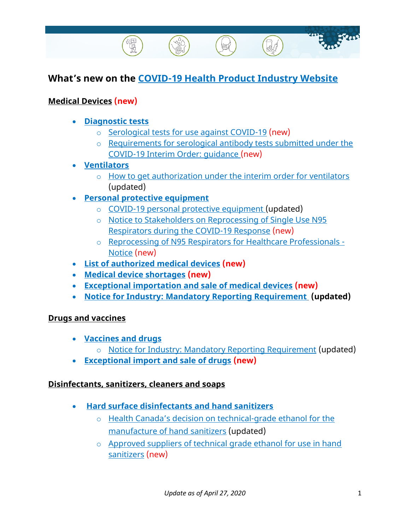# **What's new on the [COVID-19 Health Product Industry Website](https://www.canada.ca/en/health-canada/services/drugs-health-products/covid19-industry.html)**

## **[Medical Devices](https://www.canada.ca/en/health-canada/services/drugs-health-products/covid19-industry/medical-devices.html) (new)**

- **[Diagnostic tests](https://www.canada.ca/en/health-canada/services/drugs-health-products/medical-devices/covid-19.html)**
	- o [Serological tests for use against COVID-19](https://www.canada.ca/en/health-canada/services/drugs-health-products/medical-devices/covid-19/serological-testing.html) (new)
	- o [Requirements for serological antibody tests submitted under the](https://www.canada.ca/en/health-canada/services/drugs-health-products/medical-devices/application-information/guidance-documents/covid19-requirements-serological-antibody-tests.html)  [COVID-19 Interim Order: guidance \(new\)](https://www.canada.ca/en/health-canada/services/drugs-health-products/medical-devices/application-information/guidance-documents/covid19-requirements-serological-antibody-tests.html)
- **[Ventilators](https://www.canada.ca/en/health-canada/services/drugs-health-products/covid19-industry/medical-devices/ventilator-access.html)**
	- o [How to get authorization under the interim order for ventilators](https://www.canada.ca/en/health-canada/services/drugs-health-products/covid19-industry/medical-devices/ventilator-access.html) (updated)
- **Personal [protective equipment](https://www.canada.ca/en/health-canada/services/drugs-health-products/covid19-industry/medical-devices/personal-protective-equipment.html)**
	- o [COVID-19 personal protective equipment \(](https://www.canada.ca/en/health-canada/services/drugs-health-products/medical-devices/covid19-personal-protective-equipment.html)updated)
	- o [Notice to Stakeholders on Reprocessing of Single Use N95](https://www.canada.ca/en/health-canada/services/drugs-health-products/medical-devices/activities/announcements/covid19-notice-reprocessing-n95-respirators.html)  [Respirators during the COVID-19 Response](https://www.canada.ca/en/health-canada/services/drugs-health-products/medical-devices/activities/announcements/covid19-notice-reprocessing-n95-respirators.html) (new)
	- o [Reprocessing of N95 Respirators for Healthcare Professionals -](https://canada-preview.adobecqms.net/en/health-canada/services/drugs-health-products/medical-devices/activities/announcements/covid19-notice-reprocessing-n95-respirators-health-professionals.html) [Notice](https://canada-preview.adobecqms.net/en/health-canada/services/drugs-health-products/medical-devices/activities/announcements/covid19-notice-reprocessing-n95-respirators-health-professionals.html) (new)
- **[List of authorized medical devices](https://www.canada.ca/en/health-canada/services/drugs-health-products/medical-devices/covid-19/diagnostic-devices-authorized.html) (new)**
- **[Medical device shortages](https://www.canada.ca/en/health-canada/services/drugs-health-products/medical-devices/shortages.html) (new)**
- **[Exceptional importation and sale of medical devices](https://www.canada.ca/en/health-canada/services/drugs-health-products/compliance-enforcement/covid19-interim-order-drugs-medical-devices-special-foods/medical-device-exceptional-import.html) (new)**
- **[Notice for Industry: Mandatory Reporting Requirement](https://www.canada.ca/en/health-canada/services/drugs-health-products/drug-products/announcements/notice-industry-mandatory-reporting-requirement-covid-19-pandemic.html) (updated)**

#### **Drugs [and vaccines](https://www.canada.ca/en/health-canada/services/drugs-health-products/covid19-industry/drugs-vaccines-treatments.html)**

- **[Vaccines](https://www.canada.ca/en/health-canada/services/drugs-health-products/covid19-clinical-trials.html) and drugs**
	- o [Notice for Industry: Mandatory Reporting Requirement](https://www.canada.ca/en/health-canada/services/drugs-health-products/drug-products/announcements/notice-industry-mandatory-reporting-requirement-covid-19-pandemic.html) (updated)
- **[Exceptional import and sale of drugs](https://www.canada.ca/en/health-canada/services/drugs-health-products/compliance-enforcement/covid19-interim-order-drugs-medical-devices-special-foods/information-provisions-related-drugs-biocides.html) (new)**

#### **Disinfectants, [sanitizers, cleaners and soaps](https://www.canada.ca/en/health-canada/services/drugs-health-products/covid19-industry/disinfectanst-sanitizers-cleaners-soaps.html)**

- **[Hard surface disinfectants and hand sanitizers](https://www.canada.ca/en/health-canada/services/drugs-health-products/disinfectants/covid-19/information-manufacturers.html)**
	- o Health Canada's decision on technical-grade ethanol for the [manufacture of hand sanitizers](https://www.canada.ca/en/health-canada/services/drugs-health-products/natural-non-prescription/legislation-guidelines/covid19-technical-grade-ethanol-hand-sanitizer.html) (updated)
	- o [Approved suppliers of technical](https://www.canada.ca/en/health-canada/services/drugs-health-products/natural-non-prescription/legislation-guidelines/covid19-technical-grade-ethanol-hand-sanitizer/suppliers.html) grade ethanol for use in hand [sanitizers](https://www.canada.ca/en/health-canada/services/drugs-health-products/natural-non-prescription/legislation-guidelines/covid19-technical-grade-ethanol-hand-sanitizer/suppliers.html) (new)